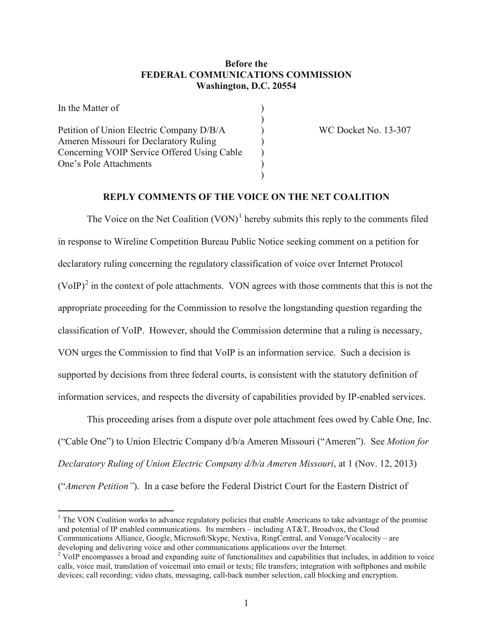# **Before the FEDERAL COMMUNICATIONS COMMISSION Washington, D.C. 20554**

| In the Matter of                            |  |
|---------------------------------------------|--|
|                                             |  |
| Petition of Union Electric Company D/B/A    |  |
| Ameren Missouri for Declaratory Ruling      |  |
| Concerning VOIP Service Offered Using Cable |  |
| One's Pole Attachments                      |  |
|                                             |  |

WC Docket No. 13-307

# **REPLY COMMENTS OF THE VOICE ON THE NET COALITION**

The Voice on the Net Coalition  $(VON)^1$  $(VON)^1$  hereby submits this reply to the comments filed in response to Wireline Competition Bureau Public Notice seeking comment on a petition for declaratory ruling concerning the regulatory classification of voice over Internet Protocol  $(VoIP)<sup>2</sup>$  $(VoIP)<sup>2</sup>$  $(VoIP)<sup>2</sup>$  in the context of pole attachments. VON agrees with those comments that this is not the appropriate proceeding for the Commission to resolve the longstanding question regarding the classification of VoIP. However, should the Commission determine that a ruling is necessary, VON urges the Commission to find that VoIP is an information service. Such a decision is supported by decisions from three federal courts, is consistent with the statutory definition of information services, and respects the diversity of capabilities provided by IP-enabled services.

This proceeding arises from a dispute over pole attachment fees owed by Cable One, Inc. ("Cable One") to Union Electric Company d/b/a Ameren Missouri ("Ameren"). See *Motion for Declaratory Ruling of Union Electric Company d/b/a Ameren Missouri*, at 1 (Nov. 12, 2013) ("*Ameren Petition"*). In a case before the Federal District Court for the Eastern District of

<span id="page-0-0"></span><sup>1</sup> The VON Coalition works to advance regulatory policies that enable Americans to take advantage of the promise and potential of IP enabled communications. Its members – including AT&T, Broadvox, the Cloud Communications Alliance, Google, Microsoft/Skype, Nextiva, RingCentral, and Vonage/Vocalocity – are developing and delivering voice and other communications applications over the Internet.

<span id="page-0-1"></span><sup>&</sup>lt;sup>2</sup> VoIP encompasses a broad and expanding suite of functionalities and capabilities that includes, in addition to voice calls, voice mail, translation of voicemail into email or texts; file transfers; integration with softphones and mobile devices; call recording; video chats, messaging, call-back number selection, call blocking and encryption.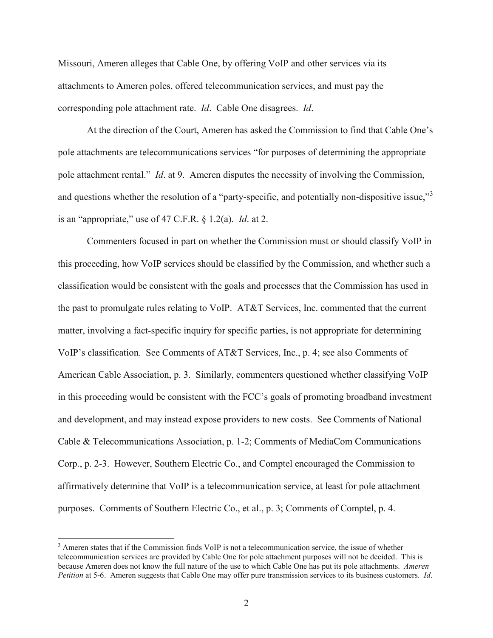Missouri, Ameren alleges that Cable One, by offering VoIP and other services via its attachments to Ameren poles, offered telecommunication services, and must pay the corresponding pole attachment rate. *Id*. Cable One disagrees. *Id*.

At the direction of the Court, Ameren has asked the Commission to find that Cable One's pole attachments are telecommunications services "for purposes of determining the appropriate pole attachment rental." *Id*. at 9. Ameren disputes the necessity of involving the Commission, and questions whether the resolution of a "party-specific, and potentially non-dispositive issue,"<sup>[3](#page-1-0)</sup> is an "appropriate," use of 47 C.F.R. § 1.2(a). *Id*. at 2.

Commenters focused in part on whether the Commission must or should classify VoIP in this proceeding, how VoIP services should be classified by the Commission, and whether such a classification would be consistent with the goals and processes that the Commission has used in the past to promulgate rules relating to VoIP. AT&T Services, Inc. commented that the current matter, involving a fact-specific inquiry for specific parties, is not appropriate for determining VoIP's classification. See Comments of AT&T Services, Inc., p. 4; see also Comments of American Cable Association, p. 3. Similarly, commenters questioned whether classifying VoIP in this proceeding would be consistent with the FCC's goals of promoting broadband investment and development, and may instead expose providers to new costs. See Comments of National Cable & Telecommunications Association, p. 1-2; Comments of MediaCom Communications Corp., p. 2-3. However, Southern Electric Co., and Comptel encouraged the Commission to affirmatively determine that VoIP is a telecommunication service, at least for pole attachment purposes. Comments of Southern Electric Co., et al., p. 3; Comments of Comptel, p. 4.

<span id="page-1-0"></span><sup>&</sup>lt;sup>3</sup> Ameren states that if the Commission finds VoIP is not a telecommunication service, the issue of whether telecommunication services are provided by Cable One for pole attachment purposes will not be decided. This is because Ameren does not know the full nature of the use to which Cable One has put its pole attachments. *Ameren Petition* at 5-6. Ameren suggests that Cable One may offer pure transmission services to its business customers. *Id*.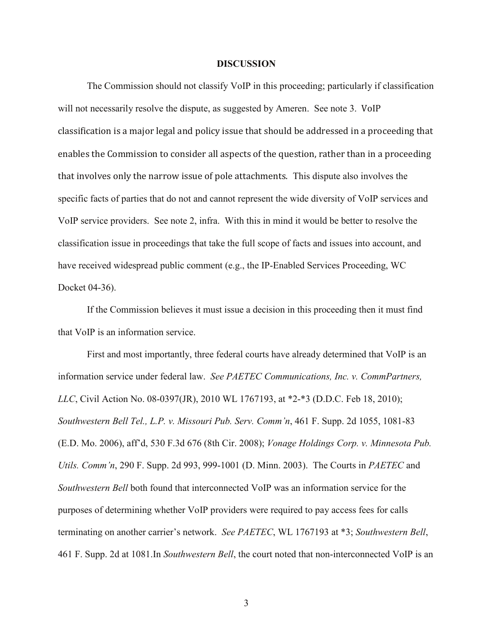#### **DISCUSSION**

The Commission should not classify VoIP in this proceeding; particularly if classification will not necessarily resolve the dispute, as suggested by Ameren. See note 3. VoIP classification is a major legal and policy issue that should be addressed in a proceeding that enables the Commission to consider all aspects of the question, rather than in a proceeding that involves only the narrow issue of pole attachments. This dispute also involves the specific facts of parties that do not and cannot represent the wide diversity of VoIP services and VoIP service providers. See note 2, infra. With this in mind it would be better to resolve the classification issue in proceedings that take the full scope of facts and issues into account, and have received widespread public comment (e.g., the IP-Enabled Services Proceeding, WC Docket 04-36).

If the Commission believes it must issue a decision in this proceeding then it must find that VoIP is an information service.

First and most importantly, three federal courts have already determined that VoIP is an information service under federal law. *See PAETEC Communications, Inc. v. CommPartners, LLC*, Civil Action No. 08-0397(JR), 2010 WL 1767193, at \*2-\*3 (D.D.C. Feb 18, 2010); *Southwestern Bell Tel., L.P. v. Missouri Pub. Serv. Comm'n*, 461 F. Supp. 2d 1055, 1081-83 (E.D. Mo. 2006), aff'd, 530 F.3d 676 (8th Cir. 2008); *Vonage Holdings Corp. v. Minnesota Pub. Utils. Comm'n*, 290 F. Supp. 2d 993, 999-1001 (D. Minn. 2003). The Courts in *PAETEC* and *Southwestern Bell* both found that interconnected VoIP was an information service for the purposes of determining whether VoIP providers were required to pay access fees for calls terminating on another carrier's network. *See PAETEC*, WL 1767193 at \*3; *Southwestern Bell*, 461 F. Supp. 2d at 1081.In *Southwestern Bell*, the court noted that non-interconnected VoIP is an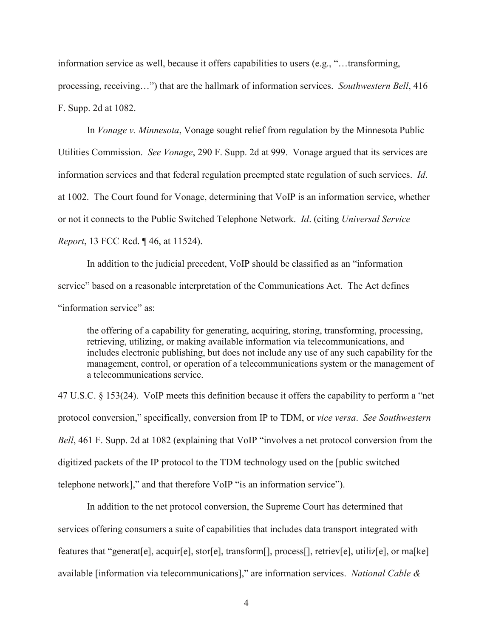information service as well, because it offers capabilities to users (e.g., "…transforming,

processing, receiving…") that are the hallmark of information services. *Southwestern Bell*, 416 F. Supp. 2d at 1082.

In *Vonage v. Minnesota*, Vonage sought relief from regulation by the Minnesota Public Utilities Commission. *See Vonage*, 290 F. Supp. 2d at 999. Vonage argued that its services are information services and that federal regulation preempted state regulation of such services. *Id*. at 1002. The Court found for Vonage, determining that VoIP is an information service, whether or not it connects to the Public Switched Telephone Network. *Id*. (citing *Universal Service Report*, 13 FCC Rcd. ¶ 46, at 11524).

In addition to the judicial precedent, VoIP should be classified as an "information service" based on a reasonable interpretation of the Communications Act. The Act defines "information service" as:

the offering of a capability for generating, acquiring, storing, transforming, processing, retrieving, utilizing, or making available information via telecommunications, and includes electronic publishing, but does not include any use of any such capability for the management, control, or operation of a telecommunications system or the management of a telecommunications service.

47 U.S.C. § 153(24). VoIP meets this definition because it offers the capability to perform a "net protocol conversion," specifically, conversion from IP to TDM, or *vice versa*. *See Southwestern Bell*, 461 F. Supp. 2d at 1082 (explaining that VoIP "involves a net protocol conversion from the digitized packets of the IP protocol to the TDM technology used on the [public switched telephone network]," and that therefore VoIP "is an information service").

In addition to the net protocol conversion, the Supreme Court has determined that services offering consumers a suite of capabilities that includes data transport integrated with features that "generaterel, acquirel, storel, transform  $[$ , process $[$ , retrievel, utilizerel, or mas electionavailable [information via telecommunications]," are information services. *National Cable &*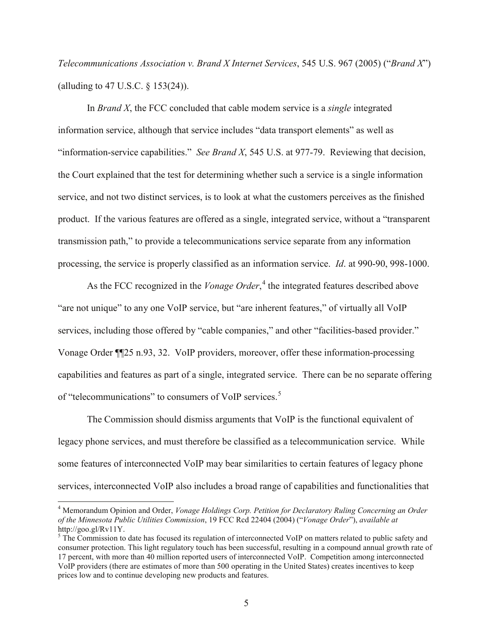*Telecommunications Association v. Brand X Internet Services*, 545 U.S. 967 (2005) ("*Brand X*") (alluding to 47 U.S.C. § 153(24)).

In *Brand X*, the FCC concluded that cable modem service is a *single* integrated information service, although that service includes "data transport elements" as well as "information-service capabilities." *See Brand X*, 545 U.S. at 977-79. Reviewing that decision, the Court explained that the test for determining whether such a service is a single information service, and not two distinct services, is to look at what the customers perceives as the finished product. If the various features are offered as a single, integrated service, without a "transparent transmission path," to provide a telecommunications service separate from any information processing, the service is properly classified as an information service. *Id*. at 990-90, 998-1000.

As the FCC recognized in the *Vonage Order*,<sup>[4](#page-4-0)</sup> the integrated features described above "are not unique" to any one VoIP service, but "are inherent features," of virtually all VoIP services, including those offered by "cable companies," and other "facilities-based provider." Vonage Order ¶¶25 n.93, 32. VoIP providers, moreover, offer these information-processing capabilities and features as part of a single, integrated service. There can be no separate offering of "telecommunications" to consumers of VoIP services.<sup>[5](#page-4-1)</sup>

The Commission should dismiss arguments that VoIP is the functional equivalent of legacy phone services, and must therefore be classified as a telecommunication service. While some features of interconnected VoIP may bear similarities to certain features of legacy phone services, interconnected VoIP also includes a broad range of capabilities and functionalities that

<span id="page-4-0"></span><sup>4</sup> Memorandum Opinion and Order, *Vonage Holdings Corp. Petition for Declaratory Ruling Concerning an Order of the Minnesota Public Utilities Commission*, 19 FCC Rcd 22404 (2004) ("*Vonage Order*"), *available at* http://goo.gl/Rv11Y.

<span id="page-4-1"></span><sup>&</sup>lt;sup>5</sup> The Commission to date has focused its regulation of interconnected VoIP on matters related to public safety and consumer protection. This light regulatory touch has been successful, resulting in a compound annual growth rate of 17 percent, with more than 40 million reported users of interconnected VoIP. Competition among interconnected VoIP providers (there are estimates of more than 500 operating in the United States) creates incentives to keep prices low and to continue developing new products and features.